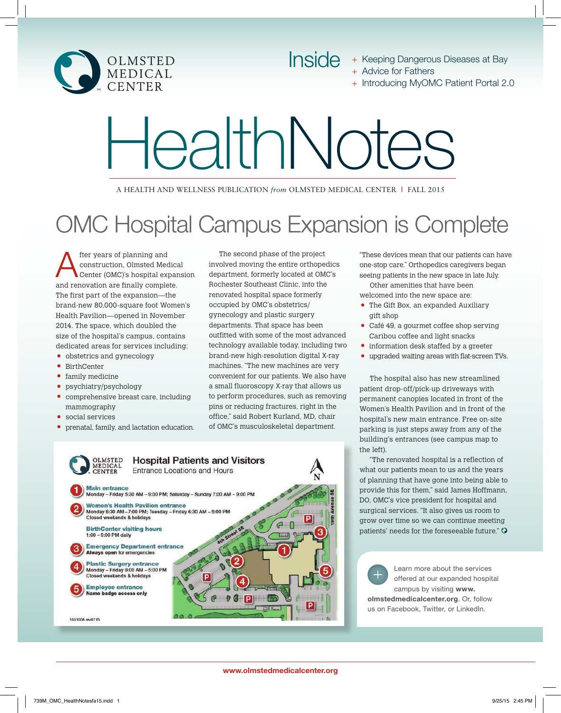

- Inside + Keeping Dangerous Diseases at Bay + Advice for Fathers
	- + Introducing MyOMC Patient Portal 2.0

# HealthNotes

A HEALTH AND WELLNESS PUBLICATION *from* OLMSTED MEDICAL CENTER **|** FALL 2015

# OMC Hospital Campus Expansion is Complete

After years of planning and Center (OMC)'s hospital expansion construction, Olmsted Medical and renovation are finally complete. The first part of the expansion—the brand-new 80,000-square foot Women's Health Pavilion—opened in November 2014. The space, which doubled the size of the hospital's campus, contains dedicated areas for services including:

- obstetrics and gynecology
- BirthCenter
- family medicine
- psychiatry/psychology
- comprehensive breast care, including mammography
- social services
- prenatal, family, and lactation education.

The second phase of the project involved moving the entire orthopedics department, formerly located at OMC's Rochester Southeast Clinic, into the renovated hospital space formerly occupied by OMC's obstetrics/ gynecology and plastic surgery departments. That space has been outfitted with some of the most advanced technology available today, including two brand-new high-resolution digital X-ray machines. "The new machines are very convenient for our patients. We also have a small fluoroscopy X-ray that allows us to perform procedures, such as removing pins or reducing fractures, right in the office," said Robert Kurland, MD, chair of OMC's musculoskeletal department.



"These devices mean that our patients can have one-stop care." Orthopedics caregivers began seeing patients in the new space in late July.

Other amenities that have been welcomed into the new space are:

- The Gift Box, an expanded Auxiliary gift shop
- Café 49, a gourmet coffee shop serving Caribou coffee and light snacks
- information desk staffed by a greeter
- upgraded waiting areas with flat-screen TVs.

The hospital also has new streamlined patient drop-off/pick-up driveways with permanent canopies located in front of the Women's Health Pavilion and in front of the hospital's new main entrance. Free on-site parking is just steps away from any of the building's entrances (see campus map to the left).

"The renovated hospital is a reflection of what our patients mean to us and the years of planning that have gone into being able to provide this for them," said James Hoffmann, DO, OMC's vice president for hospital and surgical services. "It also gives us room to grow over time so we can continue meeting patients' needs for the foreseeable future."



Learn more about the services offered at our expanded hospital campus by visiting www. olmstedmedicalcenter.org. Or, follow us on Facebook, Twitter, or LinkedIn.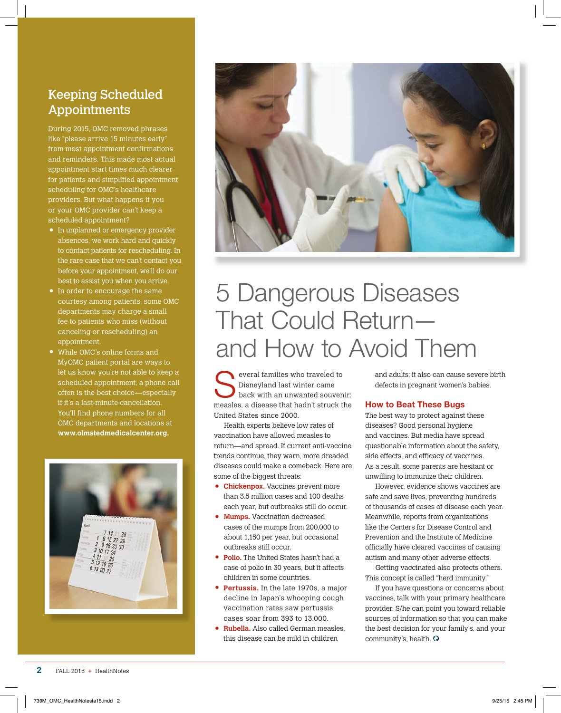### Keeping Scheduled Appointments

During 2015, OMC removed phrases like "please arrive 15 minutes early" from most appointment confirmations and reminders. This made most actual appointment start times much clearer for patients and simplified appointment scheduling for OMC's healthcare providers. But what happens if you or your OMC provider can't keep a scheduled appointment?

- In unplanned or emergency provider absences, we work hard and quickly to contact patients for rescheduling. In the rare case that we can't contact you before your appointment, we'll do our best to assist you when you arrive.
- In order to encourage the same courtesy among patients, some OMC departments may charge a small fee to patients who miss (without canceling or rescheduling) an appointment.
- While OMC's online forms and MyOMC patient portal are ways to let us know you're not able to keep a scheduled appointment, a phone call often is the best choice—especially if it's a last-minute cancellation. You'll find phone numbers for all OMC departments and locations at **www.olmstedmedicalcenter.org.**





# 5 Dangerous Diseases That Could Return and How to Avoid Them

everal families who traveled to Disneyland last winter came back with an unwanted souvenir: measles, a disease that hadn't struck the United States since 2000.

Health experts believe low rates of vaccination have allowed measles to return—and spread. If current anti-vaccine trends continue, they warn, more dreaded diseases could make a comeback. Here are some of the biggest threats:

- **Chickenpox.** Vaccines prevent more than 3.5 million cases and 100 deaths each year, but outbreaks still do occur.
- **Mumps.** Vaccination decreased cases of the mumps from 200,000 to about 1,150 per year, but occasional outbreaks still occur.
- **Polio.** The United States hasn't had a case of polio in 30 years, but it affects children in some countries.
- **Pertussis.** In the late 1970s, a major decline in Japan's whooping cough vaccination rates saw pertussis cases soar from 393 to 13,000.
- **Rubella.** Also called German measles, this disease can be mild in children

and adults; it also can cause severe birth defects in pregnant women's babies.

### How to Beat These Bugs

The best way to protect against these diseases? Good personal hygiene and vaccines. But media have spread questionable information about the safety, side effects, and efficacy of vaccines. As a result, some parents are hesitant or unwilling to immunize their children.

However, evidence shows vaccines are safe and save lives, preventing hundreds of thousands of cases of disease each year. Meanwhile, reports from organizations like the Centers for Disease Control and Prevention and the Institute of Medicine officially have cleared vaccines of causing autism and many other adverse effects.

Getting vaccinated also protects others. This concept is called "herd immunity."

If you have questions or concerns about vaccines, talk with your primary healthcare provider. S/he can point you toward reliable sources of information so that you can make the best decision for your family's, and your community's, health.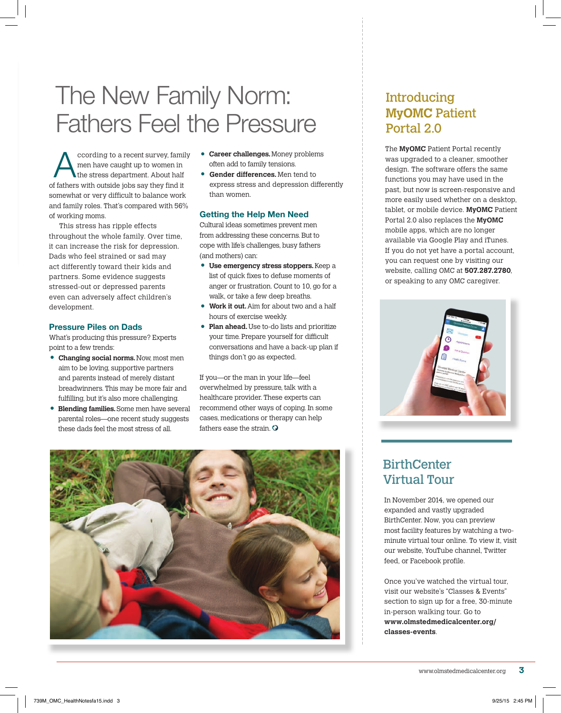## The New Family Norm: Fathers Feel the Pressure

ccording to a recent survey, family men have caught up to women in the stress department. About half of fathers with outside jobs say they find it somewhat or very difficult to balance work and family roles. That's compared with 56% of working moms.

This stress has ripple effects throughout the whole family. Over time, it can increase the risk for depression. Dads who feel strained or sad may act differently toward their kids and partners. Some evidence suggests stressed-out or depressed parents even can adversely affect children's development.

### Pressure Piles on Dads

What's producing this pressure? Experts point to a few trends:

- **Changing social norms.** Now, most men aim to be loving, supportive partners and parents instead of merely distant breadwinners. This may be more fair and fulfilling, but it's also more challenging.
- • **Blending families.** Some men have several parental roles—one recent study suggests these dads feel the most stress of all.
- **Career challenges.** Money problems often add to family tensions.
- **Gender differences.** Men tend to express stress and depression differently than women.

### Getting the Help Men Need

Cultural ideas sometimes prevent men from addressing these concerns. But to cope with life's challenges, busy fathers (and mothers) can:

- **Use emergency stress stoppers.** Keep a list of quick fixes to defuse moments of anger or frustration. Count to 10, go for a walk, or take a few deep breaths.
- **Work it out.** Aim for about two and a half hours of exercise weekly.
- **Plan ahead.** Use to-do lists and prioritize your time. Prepare yourself for difficult conversations and have a back-up plan if things don't go as expected.

 If you—or the man in your life—feel overwhelmed by pressure, talk with a healthcare provider. These experts can recommend other ways of coping. In some cases, medications or therapy can help fathers ease the strain.  $\odot$ 



### Introducing **MyOMC** Patient Portal 2.0

The **MyOMC** Patient Portal recently was upgraded to a cleaner, smoother design. The software offers the same functions you may have used in the past, but now is screen-responsive and more easily used whether on a desktop, tablet, or mobile device. **MyOMC** Patient Portal 2.0 also replaces the **MyOMC** mobile apps, which are no longer available via Google Play and iTunes. If you do not yet have a portal account, you can request one by visiting our website, calling OMC at **507.287.2780**, or speaking to any OMC caregiver.



### **BirthCenter** Virtual Tour

In November 2014, we opened our expanded and vastly upgraded BirthCenter. Now, you can preview most facility features by watching a twominute virtual tour online. To view it, visit our website, YouTube channel, Twitter feed, or Facebook profile.

Once you've watched the virtual tour, visit our website's "Classes & Events" section to sign up for a free, 30-minute in-person walking tour. Go to **www.olmstedmedicalcenter.org/ classes-events**.